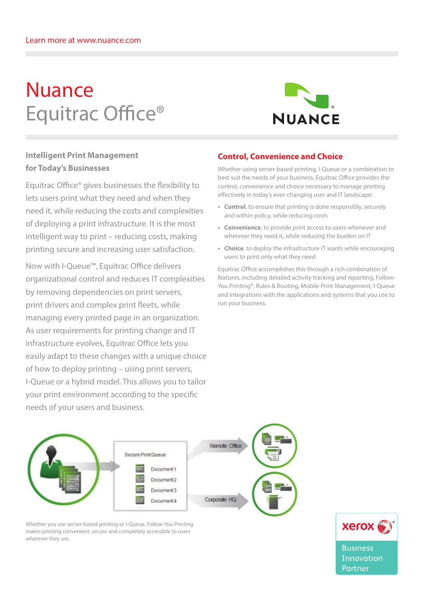# Nuance Equitrac Office®



# **Intelligent Print Management for Today's Businesses**

Equitrac Office® gives businesses the flexibility to lets users print what they need and when they need it, while reducing the costs and complexities of deploying a print infrastructure. It is the most intelligent way to print – reducing costs, making printing secure and increasing user satisfaction.

Now with I-Queue™, Equitrac Office delivers organizational control and reduces IT complexities by removing dependencies on print servers, print drivers and complex print fleets, while managing every printed page in an organization. As user requirements for printing change and IT infrastructure evolves, Equitrac Office lets you easily adapt to these changes with a unique choice of how to deploy printing – using print servers, I-Queue or a hybrid model. This allows you to tailor your print environment according to the specific needs of your users and business.

## **Control, Convenience and Choice**

Whether using server-based printing, I-Queue or a combination to best suit the needs of your business, Equitrac Office provides the control, convenience and choice necessary to manage printing effectively in today's ever-changing user and IT landscape:

- **• Control**, to ensure that printing is done responsibly, securely and within policy, while reducing costs
- **• Convenience**, to provide print access to users whenever and wherever they need it, while reducing the burden on IT
- **Choice**, to deploy the infrastructure IT wants while encouraging users to print only what they need

Equitrac Office accomplishes this through a rich combination of features, including detailed activity tracking and reporting, Follow-You Printing®, Rules & Routing, Mobile Print Management, I-Queue and integrations with the applications and systems that you use to run your business.



Whether you use server-based printing or I-Queue, Follow-You Printing makes printing convenient, secure and completely accessible to users wherever they are.



Innovation Partner